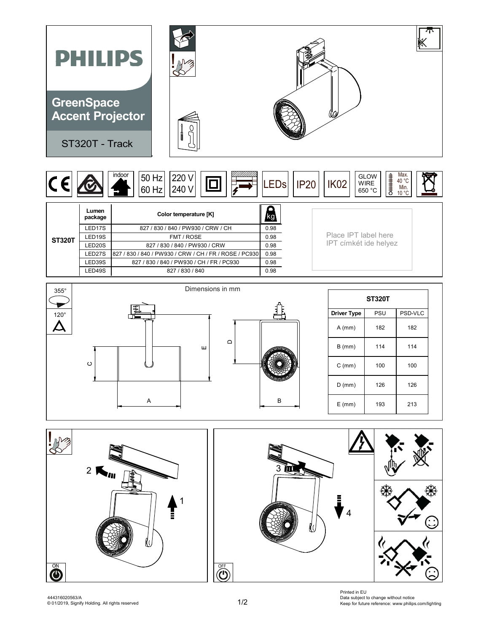